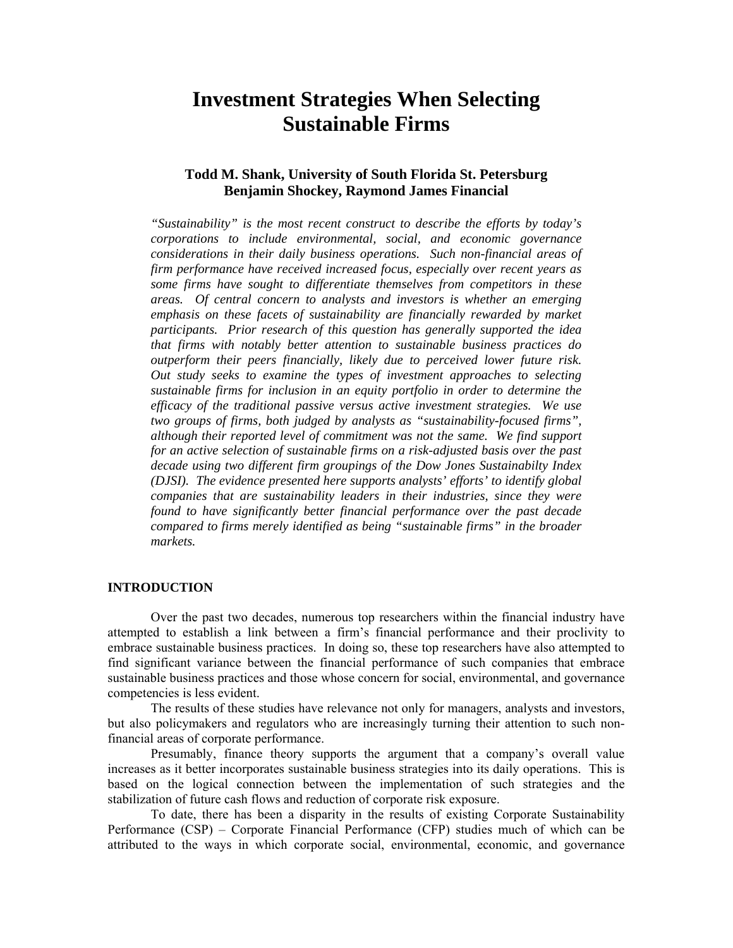# **Investment Strategies When Selecting Sustainable Firms**

# **Todd M. Shank, University of South Florida St. Petersburg Benjamin Shockey, Raymond James Financial**

*"Sustainability" is the most recent construct to describe the efforts by today's corporations to include environmental, social, and economic governance considerations in their daily business operations. Such non-financial areas of firm performance have received increased focus, especially over recent years as some firms have sought to differentiate themselves from competitors in these areas. Of central concern to analysts and investors is whether an emerging emphasis on these facets of sustainability are financially rewarded by market participants. Prior research of this question has generally supported the idea that firms with notably better attention to sustainable business practices do outperform their peers financially, likely due to perceived lower future risk. Out study seeks to examine the types of investment approaches to selecting sustainable firms for inclusion in an equity portfolio in order to determine the efficacy of the traditional passive versus active investment strategies. We use two groups of firms, both judged by analysts as "sustainability-focused firms", although their reported level of commitment was not the same. We find support for an active selection of sustainable firms on a risk-adjusted basis over the past decade using two different firm groupings of the Dow Jones Sustainabilty Index (DJSI). The evidence presented here supports analysts' efforts' to identify global companies that are sustainability leaders in their industries, since they were found to have significantly better financial performance over the past decade compared to firms merely identified as being "sustainable firms" in the broader markets.* 

# **INTRODUCTION**

Over the past two decades, numerous top researchers within the financial industry have attempted to establish a link between a firm's financial performance and their proclivity to embrace sustainable business practices. In doing so, these top researchers have also attempted to find significant variance between the financial performance of such companies that embrace sustainable business practices and those whose concern for social, environmental, and governance competencies is less evident.

The results of these studies have relevance not only for managers, analysts and investors, but also policymakers and regulators who are increasingly turning their attention to such nonfinancial areas of corporate performance.

Presumably, finance theory supports the argument that a company's overall value increases as it better incorporates sustainable business strategies into its daily operations. This is based on the logical connection between the implementation of such strategies and the stabilization of future cash flows and reduction of corporate risk exposure.

To date, there has been a disparity in the results of existing Corporate Sustainability Performance (CSP) – Corporate Financial Performance (CFP) studies much of which can be attributed to the ways in which corporate social, environmental, economic, and governance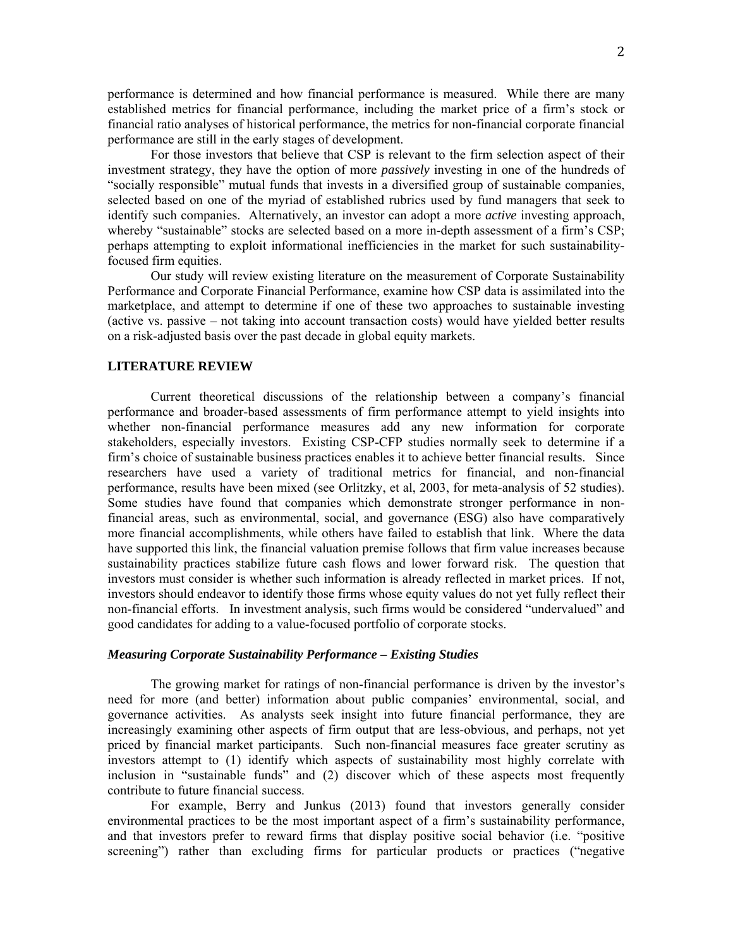performance is determined and how financial performance is measured. While there are many established metrics for financial performance, including the market price of a firm's stock or financial ratio analyses of historical performance, the metrics for non-financial corporate financial performance are still in the early stages of development.

For those investors that believe that CSP is relevant to the firm selection aspect of their investment strategy, they have the option of more *passively* investing in one of the hundreds of "socially responsible" mutual funds that invests in a diversified group of sustainable companies, selected based on one of the myriad of established rubrics used by fund managers that seek to identify such companies. Alternatively, an investor can adopt a more *active* investing approach, whereby "sustainable" stocks are selected based on a more in-depth assessment of a firm's CSP; perhaps attempting to exploit informational inefficiencies in the market for such sustainabilityfocused firm equities.

Our study will review existing literature on the measurement of Corporate Sustainability Performance and Corporate Financial Performance, examine how CSP data is assimilated into the marketplace, and attempt to determine if one of these two approaches to sustainable investing (active vs. passive – not taking into account transaction costs) would have yielded better results on a risk-adjusted basis over the past decade in global equity markets.

#### **LITERATURE REVIEW**

Current theoretical discussions of the relationship between a company's financial performance and broader-based assessments of firm performance attempt to yield insights into whether non-financial performance measures add any new information for corporate stakeholders, especially investors. Existing CSP-CFP studies normally seek to determine if a firm's choice of sustainable business practices enables it to achieve better financial results. Since researchers have used a variety of traditional metrics for financial, and non-financial performance, results have been mixed (see Orlitzky, et al, 2003, for meta-analysis of 52 studies). Some studies have found that companies which demonstrate stronger performance in nonfinancial areas, such as environmental, social, and governance (ESG) also have comparatively more financial accomplishments, while others have failed to establish that link. Where the data have supported this link, the financial valuation premise follows that firm value increases because sustainability practices stabilize future cash flows and lower forward risk. The question that investors must consider is whether such information is already reflected in market prices. If not, investors should endeavor to identify those firms whose equity values do not yet fully reflect their non-financial efforts. In investment analysis, such firms would be considered "undervalued" and good candidates for adding to a value-focused portfolio of corporate stocks.

### *Measuring Corporate Sustainability Performance – Existing Studies*

The growing market for ratings of non-financial performance is driven by the investor's need for more (and better) information about public companies' environmental, social, and governance activities. As analysts seek insight into future financial performance, they are increasingly examining other aspects of firm output that are less-obvious, and perhaps, not yet priced by financial market participants. Such non-financial measures face greater scrutiny as investors attempt to (1) identify which aspects of sustainability most highly correlate with inclusion in "sustainable funds" and (2) discover which of these aspects most frequently contribute to future financial success.

For example, Berry and Junkus (2013) found that investors generally consider environmental practices to be the most important aspect of a firm's sustainability performance, and that investors prefer to reward firms that display positive social behavior (i.e. "positive screening") rather than excluding firms for particular products or practices ("negative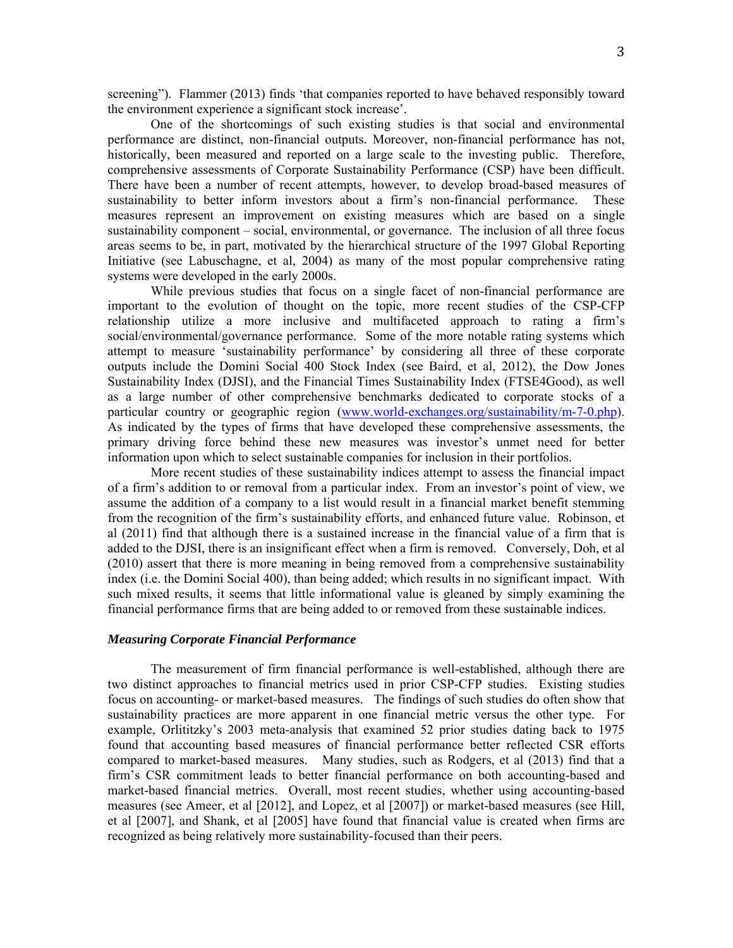screening"). Flammer (2013) finds 'that companies reported to have behaved responsibly toward the environment experience a significant stock increase'.

One of the shortcomings of such existing studies is that social and environmental performance are distinct, non-financial outputs. Moreover, non-financial performance has not, historically, been measured and reported on a large scale to the investing public. Therefore, comprehensive assessments of Corporate Sustainability Performance (CSP) have been difficult. There have been a number of recent attempts, however, to develop broad-based measures of sustainability to better inform investors about a firm's non-financial performance. These measures represent an improvement on existing measures which are based on a single sustainability component – social, environmental, or governance. The inclusion of all three focus areas seems to be, in part, motivated by the hierarchical structure of the 1997 Global Reporting Initiative (see Labuschagne, et al, 2004) as many of the most popular comprehensive rating systems were developed in the early 2000s.

While previous studies that focus on a single facet of non-financial performance are important to the evolution of thought on the topic, more recent studies of the CSP-CFP relationship utilize a more inclusive and multifaceted approach to rating a firm's social/environmental/governance performance. Some of the more notable rating systems which attempt to measure 'sustainability performance' by considering all three of these corporate outputs include the Domini Social 400 Stock Index (see Baird, et al, 2012), the Dow Jones Sustainability Index (DJSI), and the Financial Times Sustainability Index (FTSE4Good), as well as a large number of other comprehensive benchmarks dedicated to corporate stocks of a particular country or geographic region (www.world-exchanges.org/sustainability/m-7-0.php). As indicated by the types of firms that have developed these comprehensive assessments, the primary driving force behind these new measures was investor's unmet need for better information upon which to select sustainable companies for inclusion in their portfolios.

More recent studies of these sustainability indices attempt to assess the financial impact of a firm's addition to or removal from a particular index. From an investor's point of view, we assume the addition of a company to a list would result in a financial market benefit stemming from the recognition of the firm's sustainability efforts, and enhanced future value. Robinson, et al (2011) find that although there is a sustained increase in the financial value of a firm that is added to the DJSI, there is an insignificant effect when a firm is removed. Conversely, Doh, et al (2010) assert that there is more meaning in being removed from a comprehensive sustainability index (i.e. the Domini Social 400), than being added; which results in no significant impact. With such mixed results, it seems that little informational value is gleaned by simply examining the financial performance firms that are being added to or removed from these sustainable indices.

# *Measuring Corporate Financial Performance*

The measurement of firm financial performance is well-established, although there are two distinct approaches to financial metrics used in prior CSP-CFP studies. Existing studies focus on accounting- or market-based measures. The findings of such studies do often show that sustainability practices are more apparent in one financial metric versus the other type. For example, Orlititzky's 2003 meta-analysis that examined 52 prior studies dating back to 1975 found that accounting based measures of financial performance better reflected CSR efforts compared to market-based measures. Many studies, such as Rodgers, et al (2013) find that a firm's CSR commitment leads to better financial performance on both accounting-based and market-based financial metrics. Overall, most recent studies, whether using accounting-based measures (see Ameer, et al [2012], and Lopez, et al [2007]) or market-based measures (see Hill, et al [2007], and Shank, et al [2005] have found that financial value is created when firms are recognized as being relatively more sustainability-focused than their peers.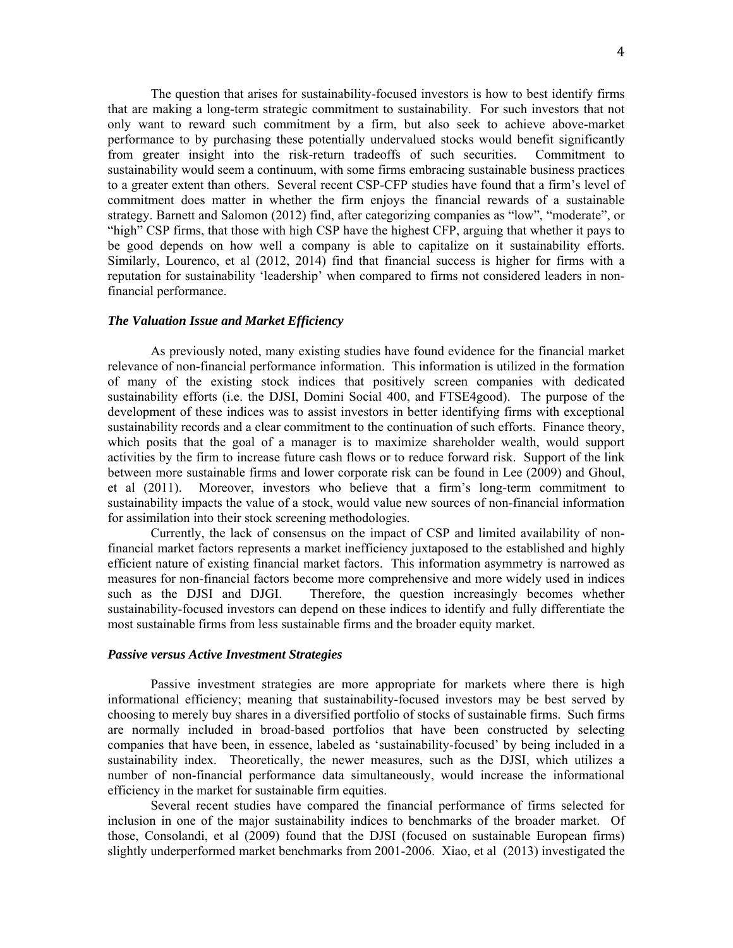The question that arises for sustainability-focused investors is how to best identify firms that are making a long-term strategic commitment to sustainability. For such investors that not only want to reward such commitment by a firm, but also seek to achieve above-market performance to by purchasing these potentially undervalued stocks would benefit significantly from greater insight into the risk-return tradeoffs of such securities. Commitment to sustainability would seem a continuum, with some firms embracing sustainable business practices to a greater extent than others. Several recent CSP-CFP studies have found that a firm's level of commitment does matter in whether the firm enjoys the financial rewards of a sustainable strategy. Barnett and Salomon (2012) find, after categorizing companies as "low", "moderate", or "high" CSP firms, that those with high CSP have the highest CFP, arguing that whether it pays to be good depends on how well a company is able to capitalize on it sustainability efforts. Similarly, Lourenco, et al (2012, 2014) find that financial success is higher for firms with a reputation for sustainability 'leadership' when compared to firms not considered leaders in nonfinancial performance.

## *The Valuation Issue and Market Efficiency*

As previously noted, many existing studies have found evidence for the financial market relevance of non-financial performance information. This information is utilized in the formation of many of the existing stock indices that positively screen companies with dedicated sustainability efforts (i.e. the DJSI, Domini Social 400, and FTSE4good). The purpose of the development of these indices was to assist investors in better identifying firms with exceptional sustainability records and a clear commitment to the continuation of such efforts. Finance theory, which posits that the goal of a manager is to maximize shareholder wealth, would support activities by the firm to increase future cash flows or to reduce forward risk. Support of the link between more sustainable firms and lower corporate risk can be found in Lee (2009) and Ghoul, et al (2011). Moreover, investors who believe that a firm's long-term commitment to sustainability impacts the value of a stock, would value new sources of non-financial information for assimilation into their stock screening methodologies.

Currently, the lack of consensus on the impact of CSP and limited availability of nonfinancial market factors represents a market inefficiency juxtaposed to the established and highly efficient nature of existing financial market factors. This information asymmetry is narrowed as measures for non-financial factors become more comprehensive and more widely used in indices such as the DJSI and DJGI. Therefore, the question increasingly becomes whether sustainability-focused investors can depend on these indices to identify and fully differentiate the most sustainable firms from less sustainable firms and the broader equity market.

### *Passive versus Active Investment Strategies*

Passive investment strategies are more appropriate for markets where there is high informational efficiency; meaning that sustainability-focused investors may be best served by choosing to merely buy shares in a diversified portfolio of stocks of sustainable firms. Such firms are normally included in broad-based portfolios that have been constructed by selecting companies that have been, in essence, labeled as 'sustainability-focused' by being included in a sustainability index. Theoretically, the newer measures, such as the DJSI, which utilizes a number of non-financial performance data simultaneously, would increase the informational efficiency in the market for sustainable firm equities.

Several recent studies have compared the financial performance of firms selected for inclusion in one of the major sustainability indices to benchmarks of the broader market. Of those, Consolandi, et al (2009) found that the DJSI (focused on sustainable European firms) slightly underperformed market benchmarks from 2001-2006. Xiao, et al (2013) investigated the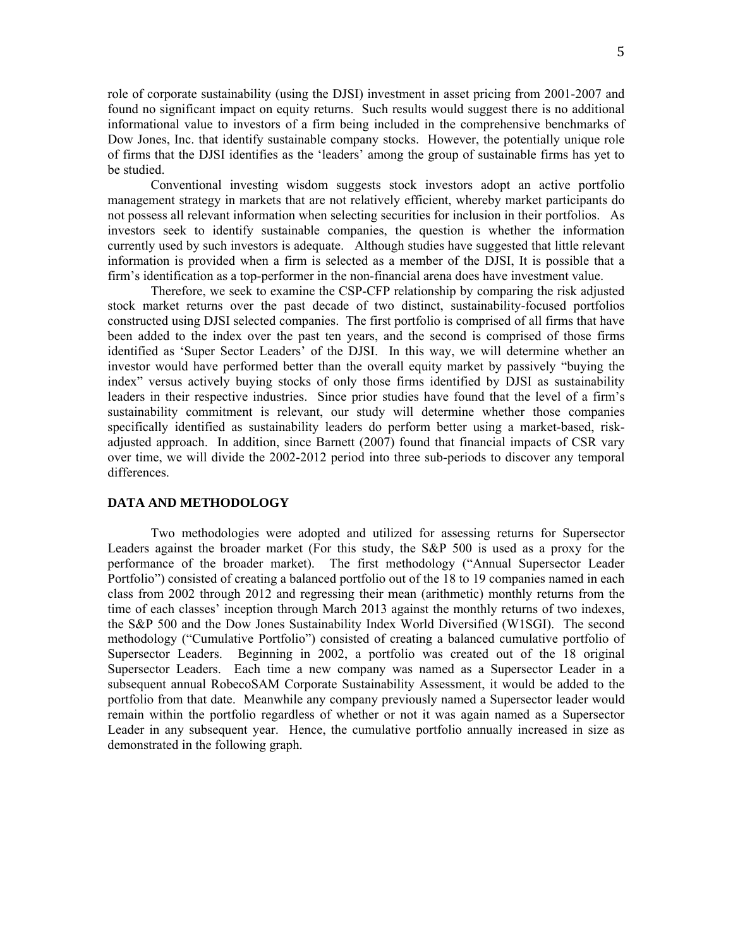role of corporate sustainability (using the DJSI) investment in asset pricing from 2001-2007 and found no significant impact on equity returns. Such results would suggest there is no additional informational value to investors of a firm being included in the comprehensive benchmarks of Dow Jones, Inc. that identify sustainable company stocks. However, the potentially unique role of firms that the DJSI identifies as the 'leaders' among the group of sustainable firms has yet to be studied.

Conventional investing wisdom suggests stock investors adopt an active portfolio management strategy in markets that are not relatively efficient, whereby market participants do not possess all relevant information when selecting securities for inclusion in their portfolios. As investors seek to identify sustainable companies, the question is whether the information currently used by such investors is adequate. Although studies have suggested that little relevant information is provided when a firm is selected as a member of the DJSI, It is possible that a firm's identification as a top-performer in the non-financial arena does have investment value.

Therefore, we seek to examine the CSP-CFP relationship by comparing the risk adjusted stock market returns over the past decade of two distinct, sustainability-focused portfolios constructed using DJSI selected companies. The first portfolio is comprised of all firms that have been added to the index over the past ten years, and the second is comprised of those firms identified as 'Super Sector Leaders' of the DJSI. In this way, we will determine whether an investor would have performed better than the overall equity market by passively "buying the index" versus actively buying stocks of only those firms identified by DJSI as sustainability leaders in their respective industries. Since prior studies have found that the level of a firm's sustainability commitment is relevant, our study will determine whether those companies specifically identified as sustainability leaders do perform better using a market-based, riskadjusted approach. In addition, since Barnett (2007) found that financial impacts of CSR vary over time, we will divide the 2002-2012 period into three sub-periods to discover any temporal differences.

#### **DATA AND METHODOLOGY**

Two methodologies were adopted and utilized for assessing returns for Supersector Leaders against the broader market (For this study, the S&P 500 is used as a proxy for the performance of the broader market). The first methodology ("Annual Supersector Leader Portfolio") consisted of creating a balanced portfolio out of the 18 to 19 companies named in each class from 2002 through 2012 and regressing their mean (arithmetic) monthly returns from the time of each classes' inception through March 2013 against the monthly returns of two indexes, the S&P 500 and the Dow Jones Sustainability Index World Diversified (W1SGI). The second methodology ("Cumulative Portfolio") consisted of creating a balanced cumulative portfolio of Supersector Leaders. Beginning in 2002, a portfolio was created out of the 18 original Supersector Leaders. Each time a new company was named as a Supersector Leader in a subsequent annual RobecoSAM Corporate Sustainability Assessment, it would be added to the portfolio from that date. Meanwhile any company previously named a Supersector leader would remain within the portfolio regardless of whether or not it was again named as a Supersector Leader in any subsequent year. Hence, the cumulative portfolio annually increased in size as demonstrated in the following graph.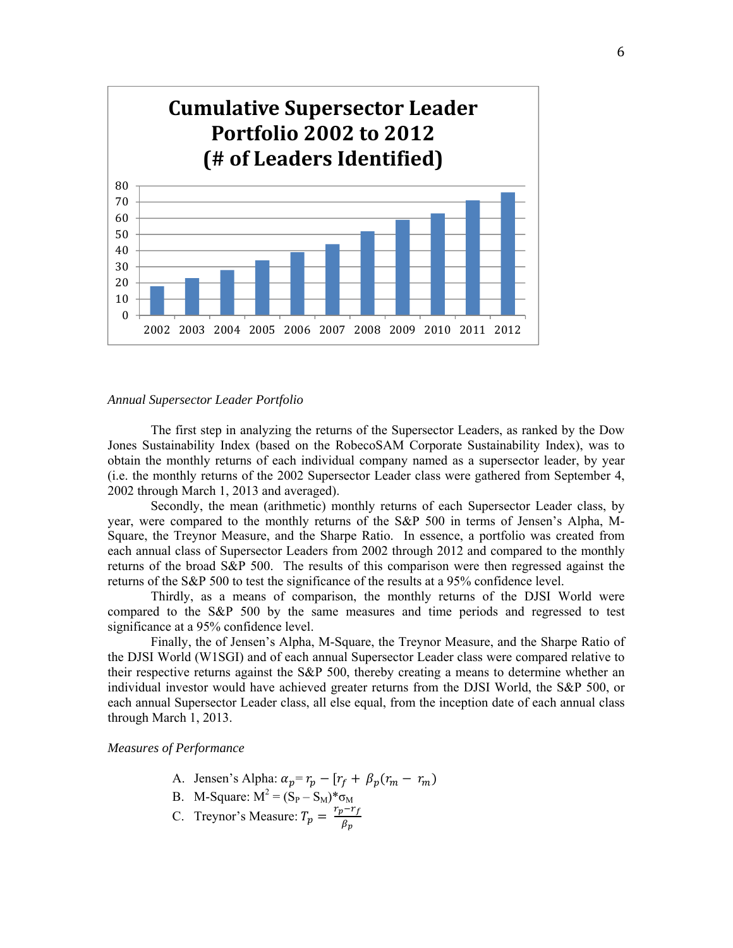

#### *Annual Supersector Leader Portfolio*

The first step in analyzing the returns of the Supersector Leaders, as ranked by the Dow Jones Sustainability Index (based on the RobecoSAM Corporate Sustainability Index), was to obtain the monthly returns of each individual company named as a supersector leader, by year (i.e. the monthly returns of the 2002 Supersector Leader class were gathered from September 4, 2002 through March 1, 2013 and averaged).

Secondly, the mean (arithmetic) monthly returns of each Supersector Leader class, by year, were compared to the monthly returns of the S&P 500 in terms of Jensen's Alpha, M-Square, the Treynor Measure, and the Sharpe Ratio. In essence, a portfolio was created from each annual class of Supersector Leaders from 2002 through 2012 and compared to the monthly returns of the broad S&P 500. The results of this comparison were then regressed against the returns of the S&P 500 to test the significance of the results at a 95% confidence level.

Thirdly, as a means of comparison, the monthly returns of the DJSI World were compared to the S&P 500 by the same measures and time periods and regressed to test significance at a 95% confidence level.

Finally, the of Jensen's Alpha, M-Square, the Treynor Measure, and the Sharpe Ratio of the DJSI World (W1SGI) and of each annual Supersector Leader class were compared relative to their respective returns against the S&P 500, thereby creating a means to determine whether an individual investor would have achieved greater returns from the DJSI World, the S&P 500, or each annual Supersector Leader class, all else equal, from the inception date of each annual class through March 1, 2013.

#### *Measures of Performance*

- A. Jensen's Alpha:  $\alpha_p = r_p [r_f + \beta_p(r_m r_m)]$
- B. M-Square:  $M^2 = (S_P S_M)^* \sigma_M$
- C. Treynor's Measure:  $T_p = \frac{r_p r_f}{\beta_p}$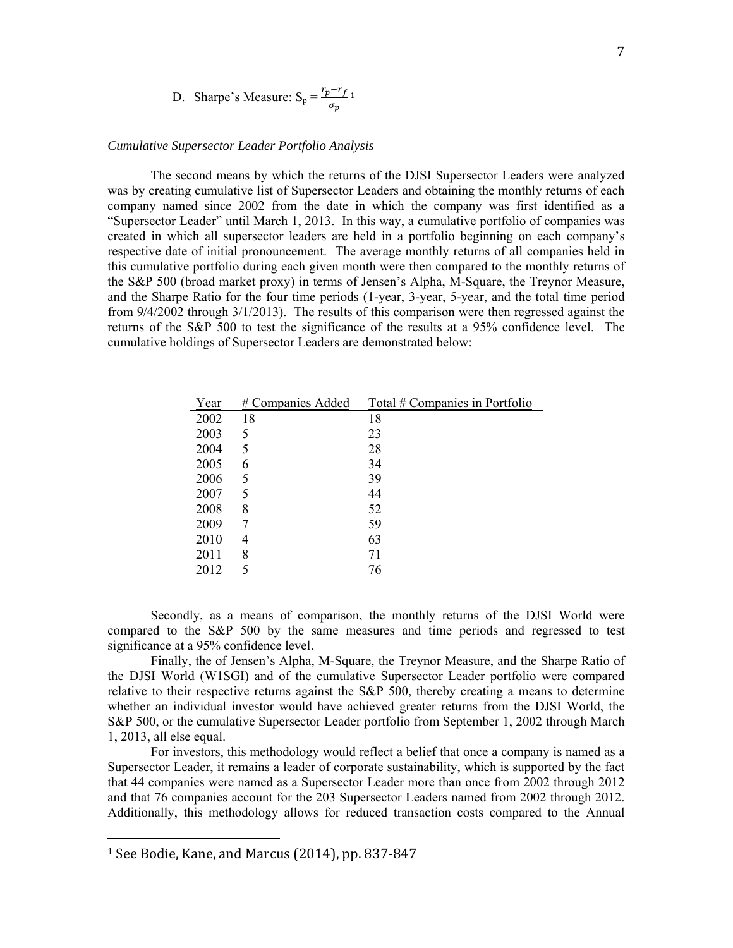D. Sharpe's Measure: 
$$
S_p = \frac{r_p - r_f}{\sigma_p} 1
$$

## *Cumulative Supersector Leader Portfolio Analysis*

The second means by which the returns of the DJSI Supersector Leaders were analyzed was by creating cumulative list of Supersector Leaders and obtaining the monthly returns of each company named since 2002 from the date in which the company was first identified as a "Supersector Leader" until March 1, 2013. In this way, a cumulative portfolio of companies was created in which all supersector leaders are held in a portfolio beginning on each company's respective date of initial pronouncement. The average monthly returns of all companies held in this cumulative portfolio during each given month were then compared to the monthly returns of the S&P 500 (broad market proxy) in terms of Jensen's Alpha, M-Square, the Treynor Measure, and the Sharpe Ratio for the four time periods (1-year, 3-year, 5-year, and the total time period from 9/4/2002 through 3/1/2013). The results of this comparison were then regressed against the returns of the S&P 500 to test the significance of the results at a 95% confidence level. The cumulative holdings of Supersector Leaders are demonstrated below:

| Year | # Companies Added | Total # Companies in Portfolio |
|------|-------------------|--------------------------------|
| 2002 | 18                | 18                             |
| 2003 | 5                 | 23                             |
| 2004 | 5                 | 28                             |
| 2005 | 6                 | 34                             |
| 2006 | 5                 | 39                             |
| 2007 | 5                 | 44                             |
| 2008 | 8                 | 52                             |
| 2009 | 7                 | 59                             |
| 2010 | 4                 | 63                             |
| 2011 | 8                 | 71                             |
| 2012 | 5                 | 76                             |

Secondly, as a means of comparison, the monthly returns of the DJSI World were compared to the S&P 500 by the same measures and time periods and regressed to test significance at a 95% confidence level.

Finally, the of Jensen's Alpha, M-Square, the Treynor Measure, and the Sharpe Ratio of the DJSI World (W1SGI) and of the cumulative Supersector Leader portfolio were compared relative to their respective returns against the S&P 500, thereby creating a means to determine whether an individual investor would have achieved greater returns from the DJSI World, the S&P 500, or the cumulative Supersector Leader portfolio from September 1, 2002 through March 1, 2013, all else equal.

For investors, this methodology would reflect a belief that once a company is named as a Supersector Leader, it remains a leader of corporate sustainability, which is supported by the fact that 44 companies were named as a Supersector Leader more than once from 2002 through 2012 and that 76 companies account for the 203 Supersector Leaders named from 2002 through 2012. Additionally, this methodology allows for reduced transaction costs compared to the Annual

 

 $1$  See Bodie, Kane, and Marcus  $(2014)$ , pp. 837-847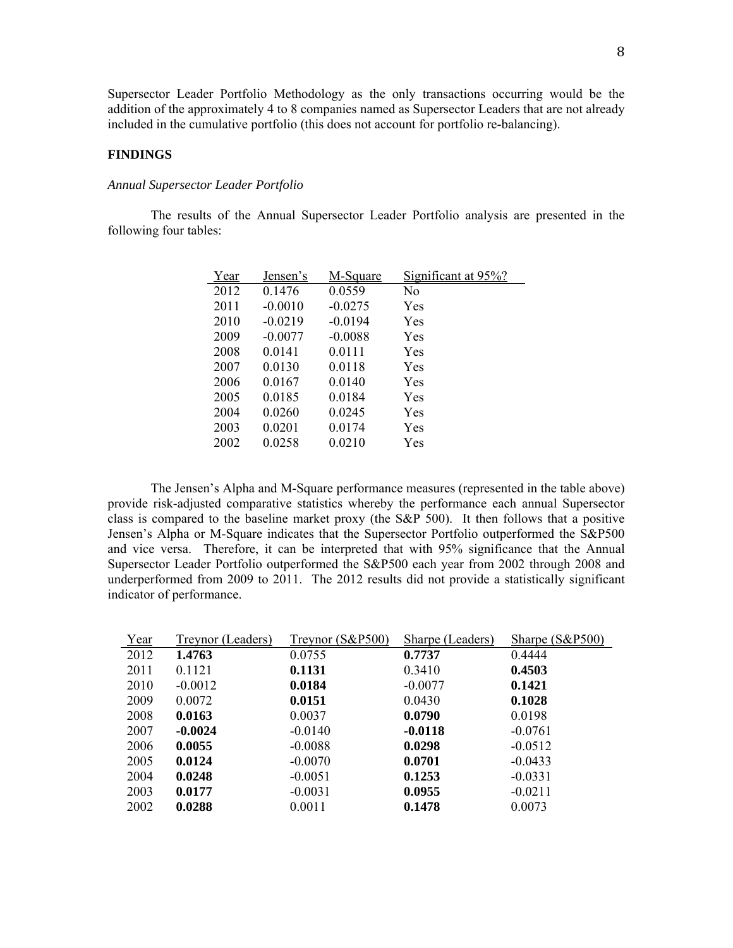Supersector Leader Portfolio Methodology as the only transactions occurring would be the addition of the approximately 4 to 8 companies named as Supersector Leaders that are not already included in the cumulative portfolio (this does not account for portfolio re-balancing).

### **FINDINGS**

#### *Annual Supersector Leader Portfolio*

The results of the Annual Supersector Leader Portfolio analysis are presented in the following four tables:

| Year | Jensen's  | M-Square  | Significant at 95%? |
|------|-----------|-----------|---------------------|
| 2012 | 0.1476    | 0.0559    | N0                  |
| 2011 | $-0.0010$ | $-0.0275$ | Yes                 |
| 2010 | $-0.0219$ | $-0.0194$ | Yes                 |
| 2009 | $-0.0077$ | $-0.0088$ | Yes                 |
| 2008 | 0.0141    | 0.0111    | Yes                 |
| 2007 | 0.0130    | 0.0118    | Yes                 |
| 2006 | 0.0167    | 0.0140    | Yes                 |
| 2005 | 0.0185    | 0.0184    | Yes                 |
| 2004 | 0.0260    | 0.0245    | Yes                 |
| 2003 | 0.0201    | 0.0174    | Yes                 |
| 2002 | 0.0258    | 0.0210    | Yes                 |

The Jensen's Alpha and M-Square performance measures (represented in the table above) provide risk-adjusted comparative statistics whereby the performance each annual Supersector class is compared to the baseline market proxy (the  $S\&P$  500). It then follows that a positive Jensen's Alpha or M-Square indicates that the Supersector Portfolio outperformed the S&P500 and vice versa. Therefore, it can be interpreted that with 95% significance that the Annual Supersector Leader Portfolio outperformed the S&P500 each year from 2002 through 2008 and underperformed from 2009 to 2011. The 2012 results did not provide a statistically significant indicator of performance.

| Year | Treynor (Leaders) | Treynor (S&P500) | Sharpe (Leaders) | Sharpe (S&P500) |
|------|-------------------|------------------|------------------|-----------------|
| 2012 | 1.4763            | 0.0755           | 0.7737           | 0.4444          |
| 2011 | 0.1121            | 0.1131           | 0.3410           | 0.4503          |
| 2010 | $-0.0012$         | 0.0184           | $-0.0077$        | 0.1421          |
| 2009 | 0.0072            | 0.0151           | 0.0430           | 0.1028          |
| 2008 | 0.0163            | 0.0037           | 0.0790           | 0.0198          |
| 2007 | $-0.0024$         | $-0.0140$        | $-0.0118$        | $-0.0761$       |
| 2006 | 0.0055            | $-0.0088$        | 0.0298           | $-0.0512$       |
| 2005 | 0.0124            | $-0.0070$        | 0.0701           | $-0.0433$       |
| 2004 | 0.0248            | $-0.0051$        | 0.1253           | $-0.0331$       |
| 2003 | 0.0177            | $-0.0031$        | 0.0955           | $-0.0211$       |
| 2002 | 0.0288            | 0.0011           | 0.1478           | 0.0073          |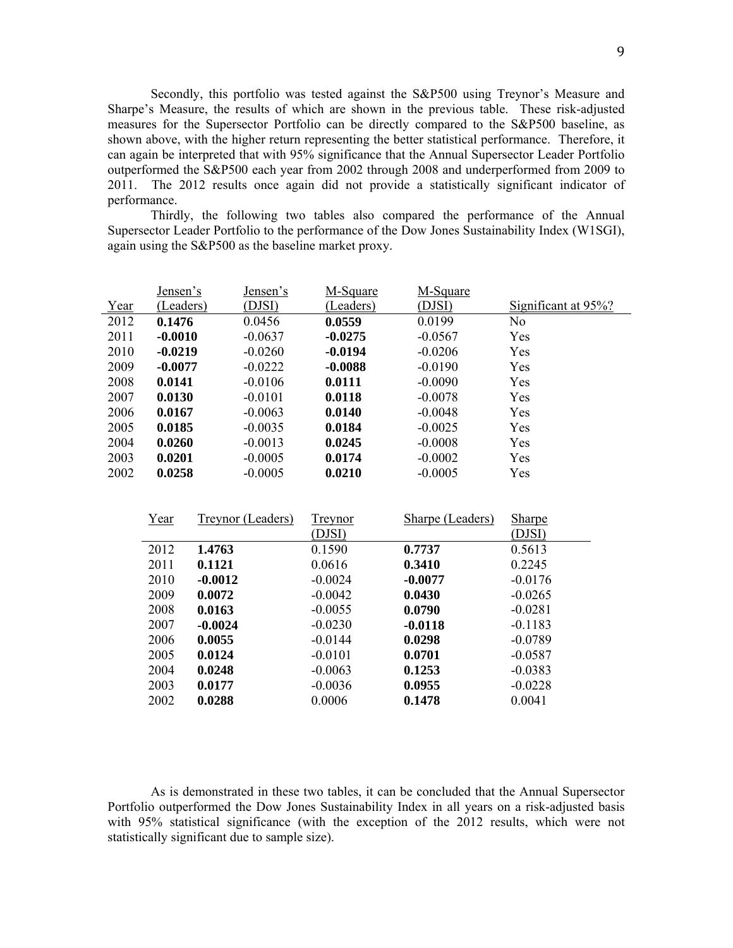Secondly, this portfolio was tested against the S&P500 using Treynor's Measure and Sharpe's Measure, the results of which are shown in the previous table. These risk-adjusted measures for the Supersector Portfolio can be directly compared to the S&P500 baseline, as shown above, with the higher return representing the better statistical performance. Therefore, it can again be interpreted that with 95% significance that the Annual Supersector Leader Portfolio outperformed the S&P500 each year from 2002 through 2008 and underperformed from 2009 to 2011. The 2012 results once again did not provide a statistically significant indicator of performance.

Thirdly, the following two tables also compared the performance of the Annual Supersector Leader Portfolio to the performance of the Dow Jones Sustainability Index (W1SGI), again using the S&P500 as the baseline market proxy.

|      | Jensen's  | Jensen's  | M-Square  | M-Square  |                     |
|------|-----------|-----------|-----------|-----------|---------------------|
| Year | (Leaders) | (DJSI)    | (Leaders) | (DJSI)    | Significant at 95%? |
| 2012 | 0.1476    | 0.0456    | 0.0559    | 0.0199    | N <sub>o</sub>      |
| 2011 | $-0.0010$ | $-0.0637$ | $-0.0275$ | $-0.0567$ | Yes                 |
| 2010 | $-0.0219$ | $-0.0260$ | $-0.0194$ | $-0.0206$ | Yes                 |
| 2009 | $-0.0077$ | $-0.0222$ | $-0.0088$ | $-0.0190$ | Yes                 |
| 2008 | 0.0141    | $-0.0106$ | 0.0111    | $-0.0090$ | Yes                 |
| 2007 | 0.0130    | $-0.0101$ | 0.0118    | $-0.0078$ | Yes                 |
| 2006 | 0.0167    | $-0.0063$ | 0.0140    | $-0.0048$ | Yes                 |
| 2005 | 0.0185    | $-0.0035$ | 0.0184    | $-0.0025$ | Yes                 |
| 2004 | 0.0260    | $-0.0013$ | 0.0245    | $-0.0008$ | Yes                 |
| 2003 | 0.0201    | $-0.0005$ | 0.0174    | $-0.0002$ | Yes                 |
| 2002 | 0.0258    | $-0.0005$ | 0.0210    | $-0.0005$ | Yes                 |

| Year | Treynor (Leaders) | Treynor   | Sharpe (Leaders) | <b>Sharpe</b> |
|------|-------------------|-----------|------------------|---------------|
|      |                   | (DJSI)    |                  | (DJSI)        |
| 2012 | 1.4763            | 0.1590    | 0.7737           | 0.5613        |
| 2011 | 0.1121            | 0.0616    | 0.3410           | 0.2245        |
| 2010 | $-0.0012$         | $-0.0024$ | $-0.0077$        | $-0.0176$     |
| 2009 | 0.0072            | $-0.0042$ | 0.0430           | $-0.0265$     |
| 2008 | 0.0163            | $-0.0055$ | 0.0790           | $-0.0281$     |
| 2007 | $-0.0024$         | $-0.0230$ | $-0.0118$        | $-0.1183$     |
| 2006 | 0.0055            | $-0.0144$ | 0.0298           | $-0.0789$     |
| 2005 | 0.0124            | $-0.0101$ | 0.0701           | $-0.0587$     |
| 2004 | 0.0248            | $-0.0063$ | 0.1253           | $-0.0383$     |
| 2003 | 0.0177            | $-0.0036$ | 0.0955           | $-0.0228$     |
| 2002 | 0.0288            | 0.0006    | 0.1478           | 0.0041        |

As is demonstrated in these two tables, it can be concluded that the Annual Supersector Portfolio outperformed the Dow Jones Sustainability Index in all years on a risk-adjusted basis with 95% statistical significance (with the exception of the 2012 results, which were not statistically significant due to sample size).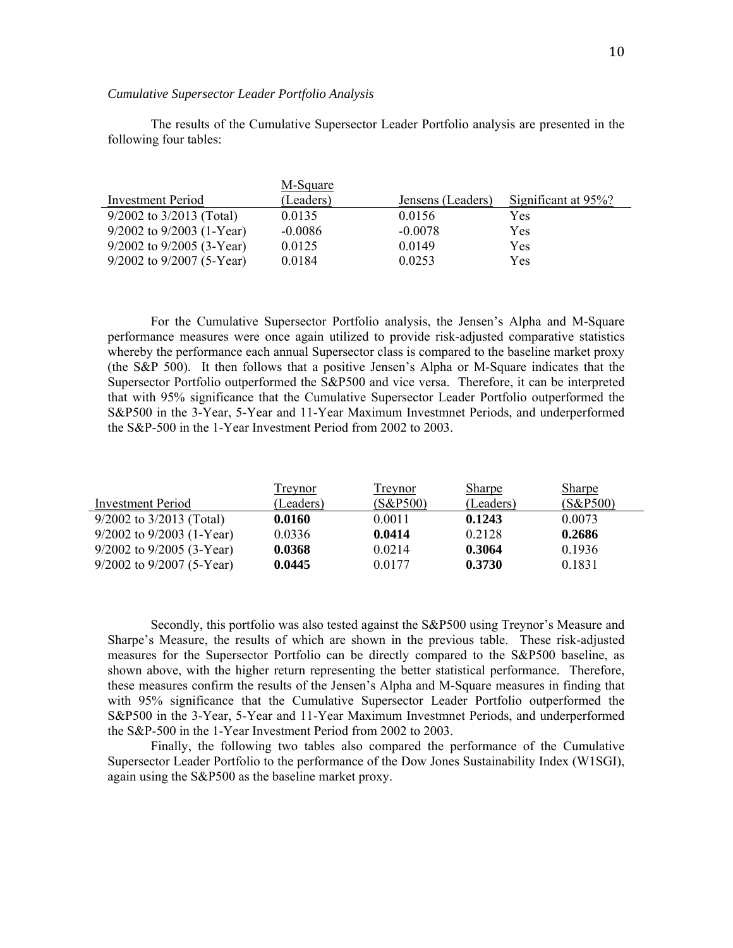#### *Cumulative Supersector Leader Portfolio Analysis*

The results of the Cumulative Supersector Leader Portfolio analysis are presented in the following four tables:

|                               | M-Square  |                   |                     |
|-------------------------------|-----------|-------------------|---------------------|
| Investment Period             | (Leaders) | Jensens (Leaders) | Significant at 95%? |
| $9/2002$ to $3/2013$ (Total)  | 0.0135    | 0.0156            | Yes                 |
| $9/2002$ to $9/2003$ (1-Year) | $-0.0086$ | $-0.0078$         | Yes                 |
| $9/2002$ to $9/2005$ (3-Year) | 0.0125    | 0.0149            | Yes                 |
| $9/2002$ to $9/2007$ (5-Year) | 0.0184    | 0.0253            | Yes                 |

For the Cumulative Supersector Portfolio analysis, the Jensen's Alpha and M-Square performance measures were once again utilized to provide risk-adjusted comparative statistics whereby the performance each annual Supersector class is compared to the baseline market proxy (the S&P 500). It then follows that a positive Jensen's Alpha or M-Square indicates that the Supersector Portfolio outperformed the S&P500 and vice versa. Therefore, it can be interpreted that with 95% significance that the Cumulative Supersector Leader Portfolio outperformed the S&P500 in the 3-Year, 5-Year and 11-Year Maximum Investmnet Periods, and underperformed the S&P-500 in the 1-Year Investment Period from 2002 to 2003.

|                               | <b>Treynor</b> | Treynor  | <b>Sharpe</b> | <b>Sharpe</b> |
|-------------------------------|----------------|----------|---------------|---------------|
| Investment Period             | (Leaders)      | (S&P500) | (Leaders)     | (S&P500)      |
| $9/2002$ to $3/2013$ (Total)  | 0.0160         | 0.0011   | 0.1243        | 0.0073        |
| $9/2002$ to $9/2003$ (1-Year) | 0.0336         | 0.0414   | 0.2128        | 0.2686        |
| $9/2002$ to $9/2005$ (3-Year) | 0.0368         | 0.0214   | 0.3064        | 0.1936        |
| $9/2002$ to $9/2007$ (5-Year) | 0.0445         | 0.0177   | 0.3730        | 0.1831        |

Secondly, this portfolio was also tested against the S&P500 using Treynor's Measure and Sharpe's Measure, the results of which are shown in the previous table. These risk-adjusted measures for the Supersector Portfolio can be directly compared to the S&P500 baseline, as shown above, with the higher return representing the better statistical performance. Therefore, these measures confirm the results of the Jensen's Alpha and M-Square measures in finding that with 95% significance that the Cumulative Supersector Leader Portfolio outperformed the S&P500 in the 3-Year, 5-Year and 11-Year Maximum Investmnet Periods, and underperformed the S&P-500 in the 1-Year Investment Period from 2002 to 2003.

Finally, the following two tables also compared the performance of the Cumulative Supersector Leader Portfolio to the performance of the Dow Jones Sustainability Index (W1SGI), again using the S&P500 as the baseline market proxy.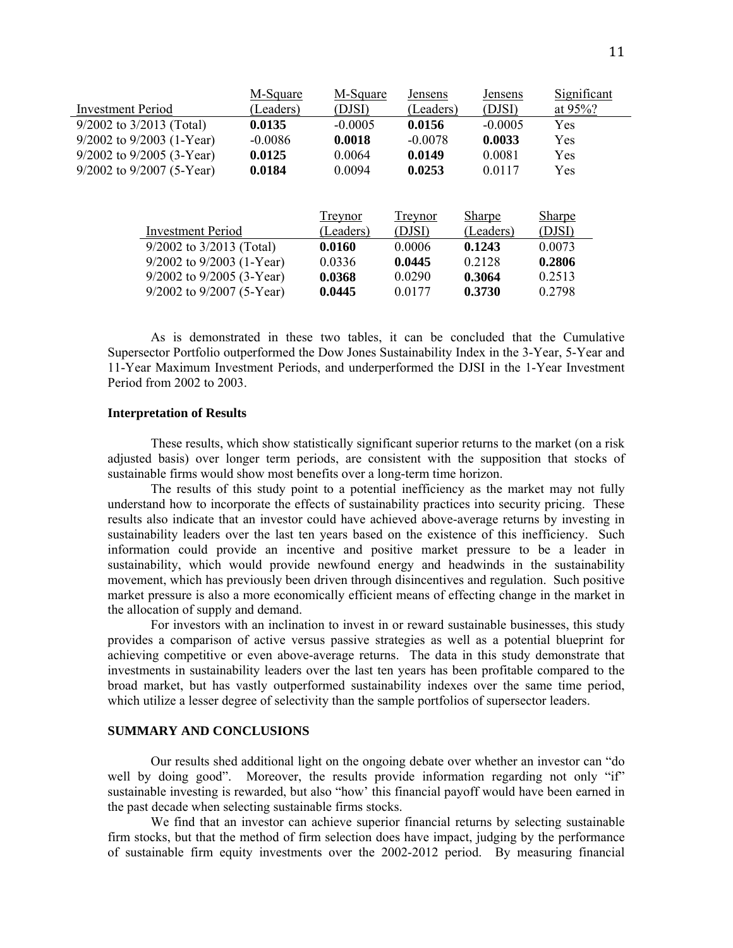|                               | M-Square  | M-Square  | Jensens   | Jensens       | Significant   |
|-------------------------------|-----------|-----------|-----------|---------------|---------------|
| <b>Investment Period</b>      | (Leaders) | (DJSI)    | (Leaders) | (DJSI)        | at $95\%$ ?   |
| $9/2002$ to $3/2013$ (Total)  | 0.0135    | $-0.0005$ | 0.0156    | $-0.0005$     | Yes           |
| $9/2002$ to $9/2003$ (1-Year) | $-0.0086$ | 0.0018    | $-0.0078$ | 0.0033        | Yes           |
| $9/2002$ to $9/2005$ (3-Year) | 0.0125    | 0.0064    | 0.0149    | 0.0081        | Yes           |
| $9/2002$ to $9/2007$ (5-Year) | 0.0184    | 0.0094    | 0.0253    | 0.0117        | Yes           |
|                               |           |           |           |               |               |
|                               |           |           |           |               |               |
|                               |           | Treynor   | Treynor   | <b>Sharpe</b> | <b>Sharpe</b> |
| <b>Investment Period</b>      |           | (Leaders) | (DJSI)    | (Leaders)     | (DJSI)        |
| $9/2002$ to $3/2013$ (Total)  |           | 0.0160    | 0.0006    | 0.1243        | 0.0073        |
| $9/2002$ to $9/2003$ (1-Year) |           | 0.0336    | 0.0445    | 0.2128        | 0.2806        |
| $9/2002$ to $9/2005$ (3-Year) |           | 0.0368    | 0.0290    | 0.3064        | 0.2513        |
| $9/2002$ to $9/2007$ (5-Year) |           | 0.0445    | 0.0177    | 0.3730        | 0.2798        |

As is demonstrated in these two tables, it can be concluded that the Cumulative Supersector Portfolio outperformed the Dow Jones Sustainability Index in the 3-Year, 5-Year and 11-Year Maximum Investment Periods, and underperformed the DJSI in the 1-Year Investment Period from 2002 to 2003.

#### **Interpretation of Results**

These results, which show statistically significant superior returns to the market (on a risk adjusted basis) over longer term periods, are consistent with the supposition that stocks of sustainable firms would show most benefits over a long-term time horizon.

The results of this study point to a potential inefficiency as the market may not fully understand how to incorporate the effects of sustainability practices into security pricing. These results also indicate that an investor could have achieved above-average returns by investing in sustainability leaders over the last ten years based on the existence of this inefficiency. Such information could provide an incentive and positive market pressure to be a leader in sustainability, which would provide newfound energy and headwinds in the sustainability movement, which has previously been driven through disincentives and regulation. Such positive market pressure is also a more economically efficient means of effecting change in the market in the allocation of supply and demand.

For investors with an inclination to invest in or reward sustainable businesses, this study provides a comparison of active versus passive strategies as well as a potential blueprint for achieving competitive or even above-average returns. The data in this study demonstrate that investments in sustainability leaders over the last ten years has been profitable compared to the broad market, but has vastly outperformed sustainability indexes over the same time period, which utilize a lesser degree of selectivity than the sample portfolios of supersector leaders.

# **SUMMARY AND CONCLUSIONS**

Our results shed additional light on the ongoing debate over whether an investor can "do well by doing good". Moreover, the results provide information regarding not only "if" sustainable investing is rewarded, but also "how' this financial payoff would have been earned in the past decade when selecting sustainable firms stocks.

We find that an investor can achieve superior financial returns by selecting sustainable firm stocks, but that the method of firm selection does have impact, judging by the performance of sustainable firm equity investments over the 2002-2012 period. By measuring financial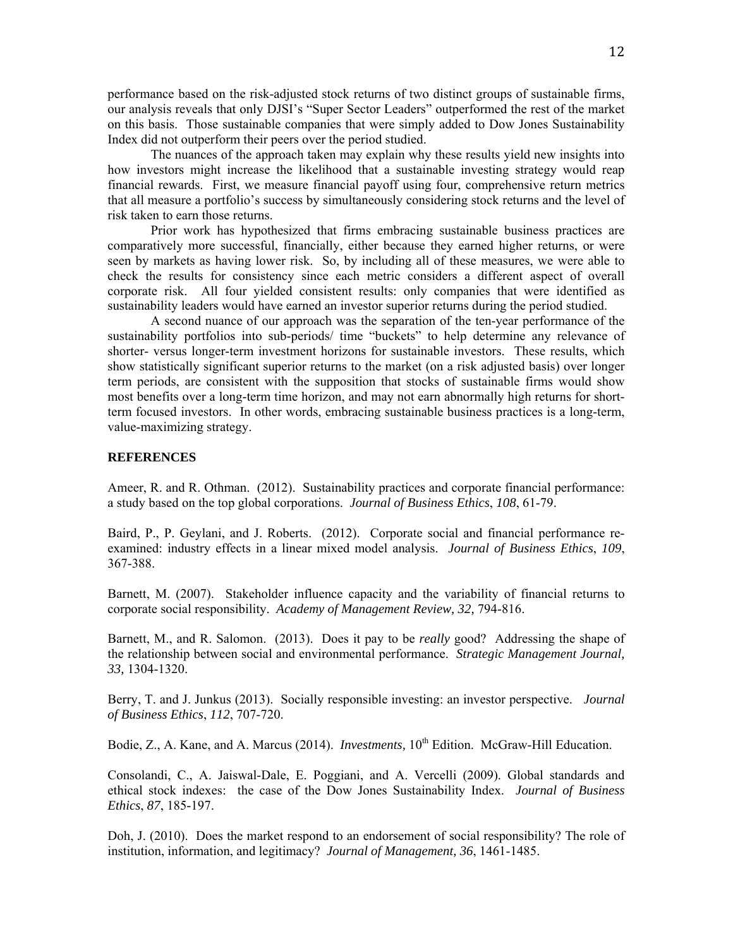performance based on the risk-adjusted stock returns of two distinct groups of sustainable firms, our analysis reveals that only DJSI's "Super Sector Leaders" outperformed the rest of the market on this basis. Those sustainable companies that were simply added to Dow Jones Sustainability Index did not outperform their peers over the period studied.

The nuances of the approach taken may explain why these results yield new insights into how investors might increase the likelihood that a sustainable investing strategy would reap financial rewards. First, we measure financial payoff using four, comprehensive return metrics that all measure a portfolio's success by simultaneously considering stock returns and the level of risk taken to earn those returns.

Prior work has hypothesized that firms embracing sustainable business practices are comparatively more successful, financially, either because they earned higher returns, or were seen by markets as having lower risk. So, by including all of these measures, we were able to check the results for consistency since each metric considers a different aspect of overall corporate risk. All four yielded consistent results: only companies that were identified as sustainability leaders would have earned an investor superior returns during the period studied.

A second nuance of our approach was the separation of the ten-year performance of the sustainability portfolios into sub-periods/ time "buckets" to help determine any relevance of shorter- versus longer-term investment horizons for sustainable investors. These results, which show statistically significant superior returns to the market (on a risk adjusted basis) over longer term periods, are consistent with the supposition that stocks of sustainable firms would show most benefits over a long-term time horizon, and may not earn abnormally high returns for shortterm focused investors. In other words, embracing sustainable business practices is a long-term, value-maximizing strategy.

## **REFERENCES**

Ameer, R. and R. Othman. (2012). Sustainability practices and corporate financial performance: a study based on the top global corporations. *Journal of Business Ethics*, *108*, 61-79.

Baird, P., P. Geylani, and J. Roberts. (2012). Corporate social and financial performance reexamined: industry effects in a linear mixed model analysis. *Journal of Business Ethics*, *109*, 367-388.

Barnett, M. (2007). Stakeholder influence capacity and the variability of financial returns to corporate social responsibility. *Academy of Management Review, 32,* 794-816.

Barnett, M., and R. Salomon. (2013). Does it pay to be *really* good? Addressing the shape of the relationship between social and environmental performance. *Strategic Management Journal, 33,* 1304-1320.

Berry, T. and J. Junkus (2013). Socially responsible investing: an investor perspective. *Journal of Business Ethics*, *112*, 707-720.

Bodie, Z., A. Kane, and A. Marcus (2014). *Investments*, 10<sup>th</sup> Edition. McGraw-Hill Education.

Consolandi, C., A. Jaiswal-Dale, E. Poggiani, and A. Vercelli (2009). Global standards and ethical stock indexes: the case of the Dow Jones Sustainability Index. *Journal of Business Ethics*, *87*, 185-197.

Doh, J. (2010). Does the market respond to an endorsement of social responsibility? The role of institution, information, and legitimacy? *Journal of Management, 36*, 1461-1485.